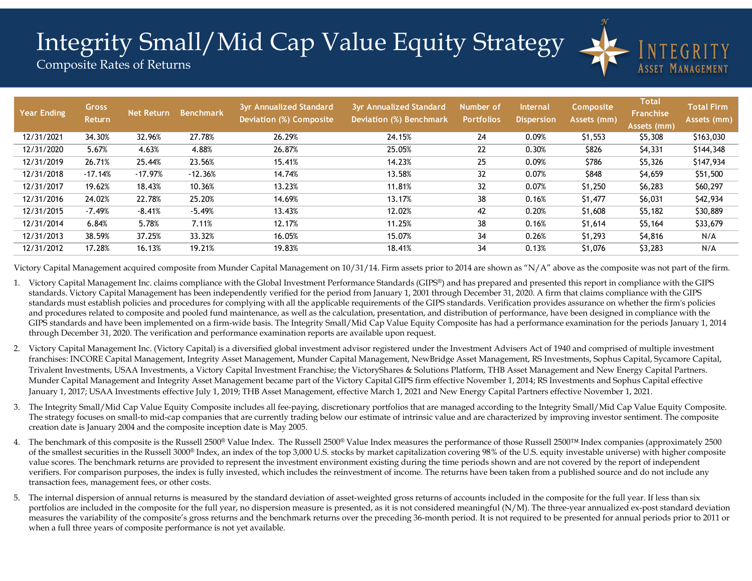## Integrity Small/Mid Cap Value Equity Strategy



Composite Rates of Returns

| <b>Year Ending</b> | <b>Gross</b><br>Return | <b>Net Return</b> | <b>Benchmark</b> | <b>3yr Annualized Standard</b><br><b>Deviation (%) Composite</b> | <b>3yr Annualized Standard</b><br><b>Deviation (%) Benchmark</b> | Number of<br><b>Portfolios</b> | <b>Internal</b><br><b>Dispersion</b> | Composite<br>Assets (mm) | <b>Total</b><br><b>Franchise</b><br>Assets (mm) | <b>Total Firm</b><br>Assets (mm) |
|--------------------|------------------------|-------------------|------------------|------------------------------------------------------------------|------------------------------------------------------------------|--------------------------------|--------------------------------------|--------------------------|-------------------------------------------------|----------------------------------|
| 12/31/2021         | 34.30%                 | 32.96%            | 27.78%           | 26.29%                                                           | 24.15%                                                           | 24                             | 0.09%                                | \$1,553                  | \$5,308                                         | \$163,030                        |
| 12/31/2020         | 5.67%                  | 4.63%             | 4.88%            | 26.87%                                                           | 25.05%                                                           | 22                             | 0.30%                                | \$826                    | \$4,331                                         | \$144,348                        |
| 12/31/2019         | 26.71%                 | 25.44%            | 23.56%           | 15.41%                                                           | 14.23%                                                           | 25                             | 0.09%                                | \$786                    | \$5,326                                         | \$147,934                        |
| 12/31/2018         | $-17.14%$              | $-17.97%$         | $-12.36%$        | 14.74%                                                           | 13.58%                                                           | 32                             | 0.07%                                | \$848                    | \$4,659                                         | \$51,500                         |
| 12/31/2017         | 19.62%                 | 18.43%            | 10.36%           | 13.23%                                                           | 11.81%                                                           | 32                             | 0.07%                                | \$1,250                  | \$6,283                                         | \$60,297                         |
| 12/31/2016         | 24.02%                 | 22.78%            | 25.20%           | 14.69%                                                           | 13.17%                                                           | 38                             | 0.16%                                | \$1,477                  | \$6,031                                         | \$42,934                         |
| 12/31/2015         | $-7.49%$               | $-8.41%$          | $-5.49%$         | 13.43%                                                           | 12.02%                                                           | 42                             | 0.20%                                | \$1,608                  | \$5,182                                         | \$30,889                         |
| 12/31/2014         | 6.84%                  | 5.78%             | 7.11%            | 12.17%                                                           | 11.25%                                                           | 38                             | 0.16%                                | \$1,614                  | \$5,164                                         | \$33,679                         |
| 12/31/2013         | 38.59%                 | 37.25%            | 33.32%           | 16.05%                                                           | 15.07%                                                           | 34                             | 0.26%                                | \$1,293                  | \$4,816                                         | N/A                              |
| 12/31/2012         | 17.28%                 | 16.13%            | 19.21%           | 19.83%                                                           | 18.41%                                                           | 34                             | 0.13%                                | \$1,076                  | \$3,283                                         | N/A                              |

Victory Capital Management acquired composite from Munder Capital Management on  $10/31/14$ . Firm assets prior to 2014 are shown as "N/A" above as the composite was not part of the firm.

- 1. Victory Capital Management Inc. claims compliance with the Global Investment Performance Standards (GIPS®) and has prepared and presented this report in compliance with the GIPS standards. Victory Capital Management has been independently verified for the period from January 1, 2001 through December 31, 2020. A firm that claims compliance with the GIPS standards must establish policies and procedures for complying with all the applicable requirements of the GIPS standards. Verification provides assurance on whether the firm's policies and procedures related to composite and pooled fund maintenance, as well as the calculation, presentation, and distribution of performance, have been designed in compliance with the GIPS standards and have been implemented on a firm-wide basis. The Integrity Small/Mid Cap Value Equity Composite has had a performance examination for the periods January 1, 2014 through December 31, 2020. The verification and performance examination reports are available upon request.
- 2. Victory Capital Management Inc. (Victory Capital) is a diversified global investment advisor registered under the Investment Advisers Act of 1940 and comprised of multiple investment franchises: INCORE Capital Management, Integrity Asset Management, Munder Capital Management, NewBridge Asset Management, RS Investments, Sophus Capital, Sycamore Capital, Trivalent Investments, USAA Investments, a Victory Capital Investment Franchise; the VictoryShares & Solutions Platform, THB Asset Management and New Energy Capital Partners. Munder Capital Management and Integrity Asset Management became part of the Victory Capital GIPS firm effective November 1, 2014; RS Investments and Sophus Capital effective January 1, 2017; USAA Investments effective July 1, 2019; THB Asset Management, effective March 1, 2021 and New Energy Capital Partners effective November 1, 2021.
- 3. The Integrity Small/Mid Cap Value Equity Composite includes all fee-paying, discretionary portfolios that are managed according to the Integrity Small/Mid Cap Value Equity Composite. The strategy focuses on small-to mid-cap companies that are currently trading below our estimate of intrinsic value and are characterized by improving investor sentiment. The composite creation date is January 2004 and the composite inception date is May 2005.
- 4. The benchmark of this composite is the Russell 2500® Value Index. The Russell 2500® Value Index measures the performance of those Russell 2500 ™ Index companies (approximately 2500 of the smallest securities in the Russell 3000® Index, an index of the top 3,000 U.S. stocks by market capitalization covering 98% of the U.S. equity investable universe) with higher composite value scores. The benchmark returns are provided to represent the investment environment existing during the time periods shown and are not covered by the report of independent verifiers. For comparison purposes, the index is fully invested, which includes the reinvestment of income. The returns have been taken from a published source and do not include any transaction fees, management fees, or other costs.
- 5. The internal dispersion of annual returns is measured by the standard deviation of asset-weighted gross returns of accounts included in the composite for the full year. If less than six portfolios are included in the composite for the full year, no dispersion measure is presented, as it is not considered meaningful (N/M). The three-year annualized ex-post standard deviation measures the variability of the composite's gross returns and the benchmark returns over the preceding 36-month period. It is not required to be presented for annual periods prior to 2011 or when a full three years of composite performance is not yet available.